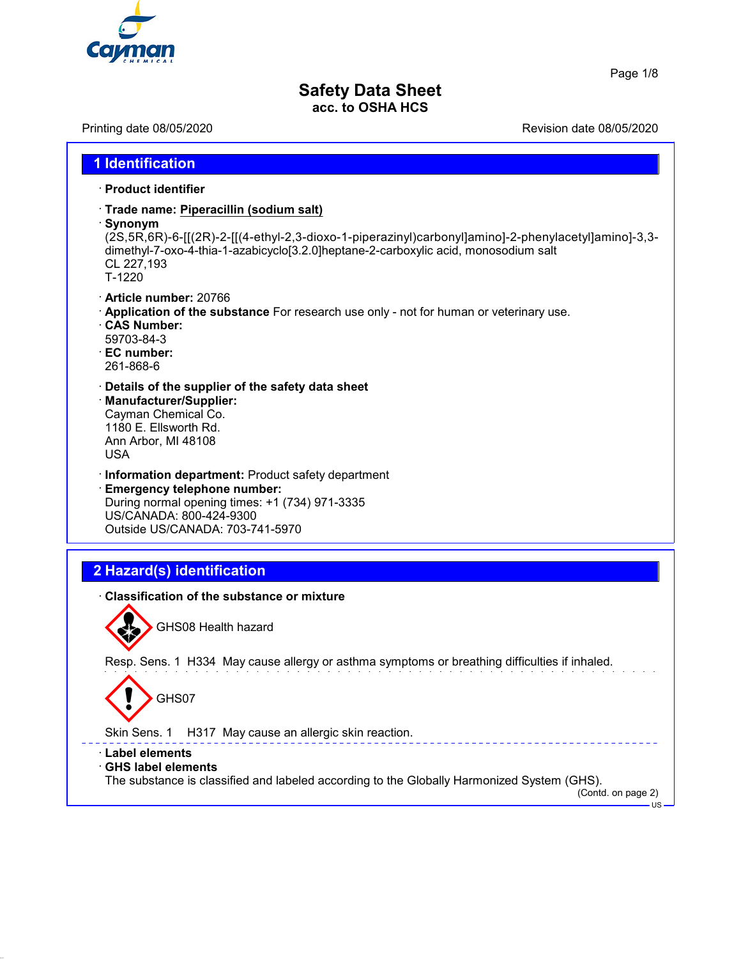

Printing date 08/05/2020 **Revision date 08/05/2020** Revision date 08/05/2020 **1 Identification** · **Product identifier** · **Trade name: Piperacillin (sodium salt)** · **Synonym** (2S,5R,6R)-6-[[(2R)-2-[[(4-ethyl-2,3-dioxo-1-piperazinyl)carbonyl]amino]-2-phenylacetyl]amino]-3,3 dimethyl-7-oxo-4-thia-1-azabicyclo[3.2.0]heptane-2-carboxylic acid, monosodium salt CL 227,193 T-1220 · **Article number:** 20766 · **Application of the substance** For research use only - not for human or veterinary use. · **CAS Number:** 59703-84-3 · **EC number:** 261-868-6 · **Details of the supplier of the safety data sheet** · **Manufacturer/Supplier:** Cayman Chemical Co. 1180 E. Ellsworth Rd. Ann Arbor, MI 48108 USA · **Information department:** Product safety department · **Emergency telephone number:** During normal opening times: +1 (734) 971-3335 US/CANADA: 800-424-9300 Outside US/CANADA: 703-741-5970 **2 Hazard(s) identification** · **Classification of the substance or mixture** GHS08 Health hazard Resp. Sens. 1 H334 May cause allergy or asthma symptoms or breathing difficulties if inhaled. GHS07 Skin Sens. 1 H317 May cause an allergic skin reaction. · **Label elements** · **GHS label elements**

The substance is classified and labeled according to the Globally Harmonized System (GHS).

(Contd. on page 2)

US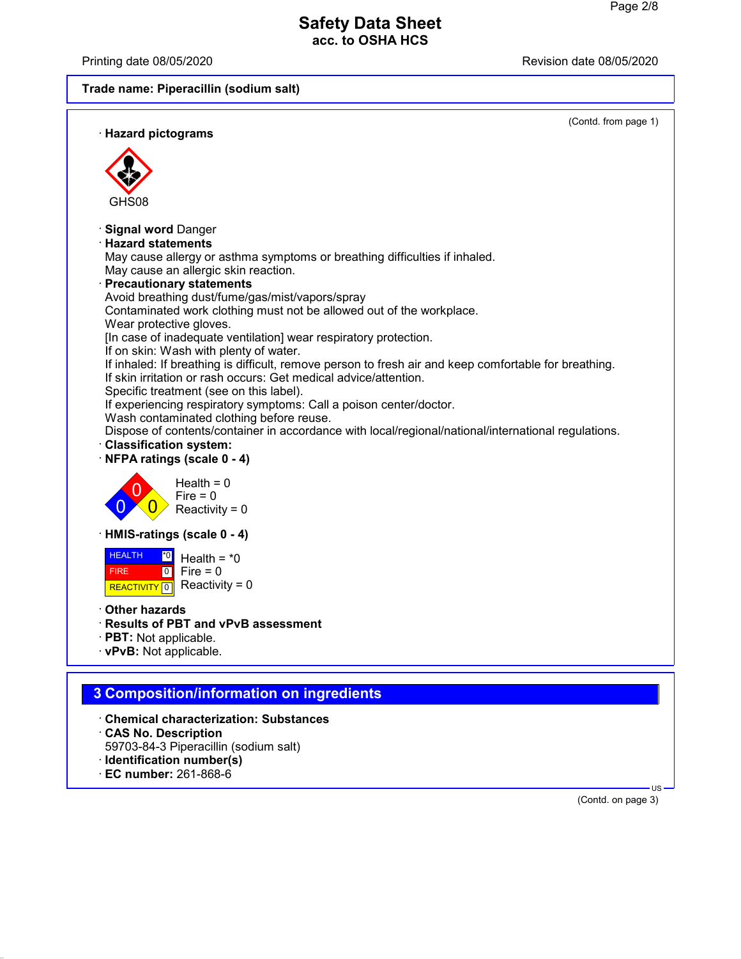Printing date 08/05/2020 **Review Accord 2012** Revision date 08/05/2020

**Trade name: Piperacillin (sodium salt)**

(Contd. from page 1)



 US (Contd. on page 3)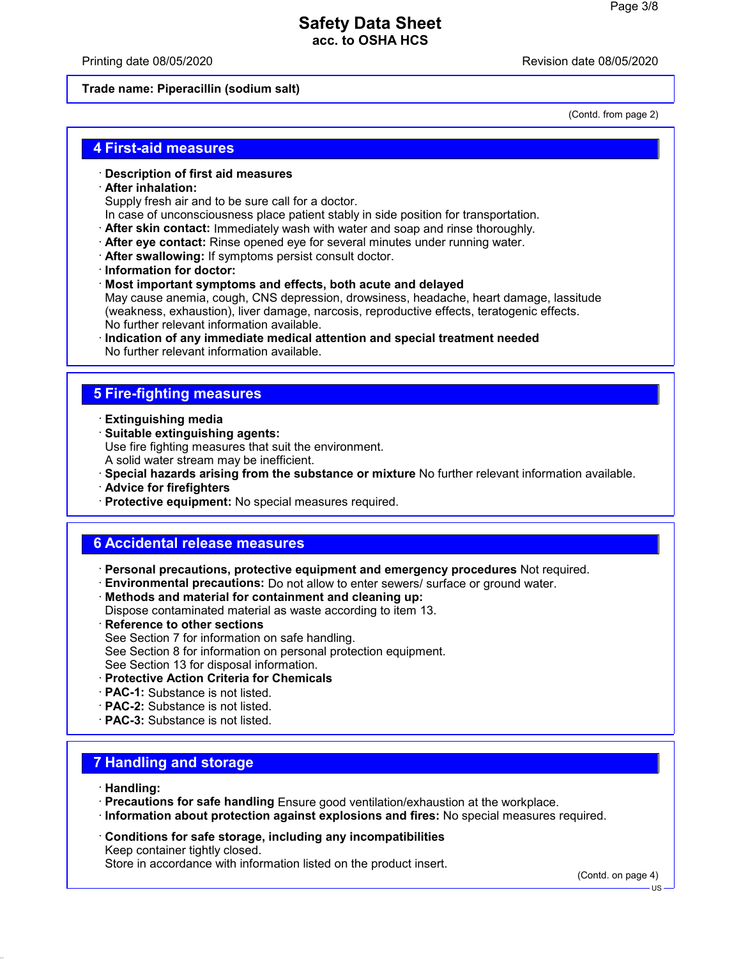Printing date 08/05/2020 Revision date 08/05/2020

#### **Trade name: Piperacillin (sodium salt)**

(Contd. from page 2)

### **4 First-aid measures**

- · **Description of first aid measures**
- · **After inhalation:**

Supply fresh air and to be sure call for a doctor.

- In case of unconsciousness place patient stably in side position for transportation.
- · **After skin contact:** Immediately wash with water and soap and rinse thoroughly.
- · **After eye contact:** Rinse opened eye for several minutes under running water.
- · **After swallowing:** If symptoms persist consult doctor.
- · **Information for doctor:**
- · **Most important symptoms and effects, both acute and delayed**

May cause anemia, cough, CNS depression, drowsiness, headache, heart damage, lassitude (weakness, exhaustion), liver damage, narcosis, reproductive effects, teratogenic effects. No further relevant information available.

· **Indication of any immediate medical attention and special treatment needed** No further relevant information available.

### **5 Fire-fighting measures**

- · **Extinguishing media**
- · **Suitable extinguishing agents:** Use fire fighting measures that suit the environment. A solid water stream may be inefficient.
- · **Special hazards arising from the substance or mixture** No further relevant information available.
- · **Advice for firefighters**
- · **Protective equipment:** No special measures required.

### **6 Accidental release measures**

- · **Personal precautions, protective equipment and emergency procedures** Not required.
- · **Environmental precautions:** Do not allow to enter sewers/ surface or ground water.
- · **Methods and material for containment and cleaning up:** Dispose contaminated material as waste according to item 13.
- · **Reference to other sections** See Section 7 for information on safe handling. See Section 8 for information on personal protection equipment. See Section 13 for disposal information.
- · **Protective Action Criteria for Chemicals**
- · **PAC-1:** Substance is not listed.
- · **PAC-2:** Substance is not listed.
- · **PAC-3:** Substance is not listed.

# **7 Handling and storage**

- · **Handling:**
- · **Precautions for safe handling** Ensure good ventilation/exhaustion at the workplace.
- · **Information about protection against explosions and fires:** No special measures required.
- · **Conditions for safe storage, including any incompatibilities** Keep container tightly closed. Store in accordance with information listed on the product insert.

(Contd. on page 4)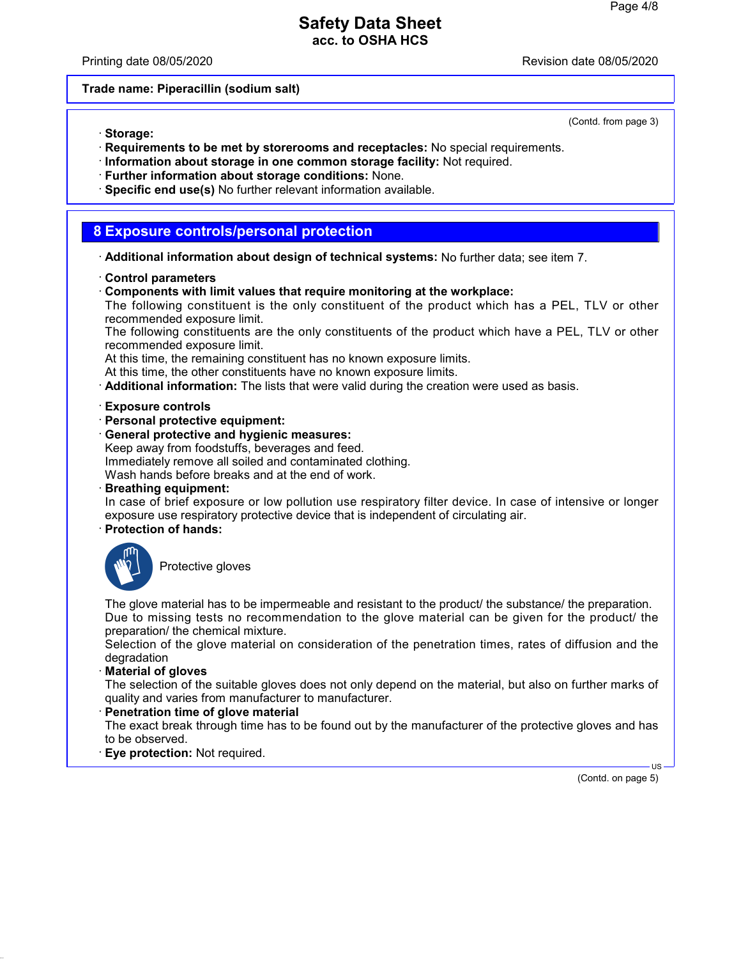#### Printing date 08/05/2020 **Review Accord 2012** Revision date 08/05/2020

#### **Trade name: Piperacillin (sodium salt)**

(Contd. from page 3)

- · **Storage:**
- · **Requirements to be met by storerooms and receptacles:** No special requirements.
- · **Information about storage in one common storage facility:** Not required.
- · **Further information about storage conditions:** None.
- · **Specific end use(s)** No further relevant information available.

### **8 Exposure controls/personal protection**

· **Additional information about design of technical systems:** No further data; see item 7.

- · **Control parameters**
- · **Components with limit values that require monitoring at the workplace:**

The following constituent is the only constituent of the product which has a PEL, TLV or other recommended exposure limit.

The following constituents are the only constituents of the product which have a PEL, TLV or other recommended exposure limit.

At this time, the remaining constituent has no known exposure limits.

At this time, the other constituents have no known exposure limits.

- · **Additional information:** The lists that were valid during the creation were used as basis.
- · **Exposure controls**
- · **Personal protective equipment:**
- · **General protective and hygienic measures:**

Keep away from foodstuffs, beverages and feed. Immediately remove all soiled and contaminated clothing. Wash hands before breaks and at the end of work.

· **Breathing equipment:**

In case of brief exposure or low pollution use respiratory filter device. In case of intensive or longer exposure use respiratory protective device that is independent of circulating air.

· **Protection of hands:**



Protective gloves

The glove material has to be impermeable and resistant to the product/ the substance/ the preparation. Due to missing tests no recommendation to the glove material can be given for the product/ the preparation/ the chemical mixture.

Selection of the glove material on consideration of the penetration times, rates of diffusion and the degradation

· **Material of gloves**

The selection of the suitable gloves does not only depend on the material, but also on further marks of quality and varies from manufacturer to manufacturer.

· **Penetration time of glove material**

The exact break through time has to be found out by the manufacturer of the protective gloves and has to be observed.

· **Eye protection:** Not required.

(Contd. on page 5)

 $\overline{11S}$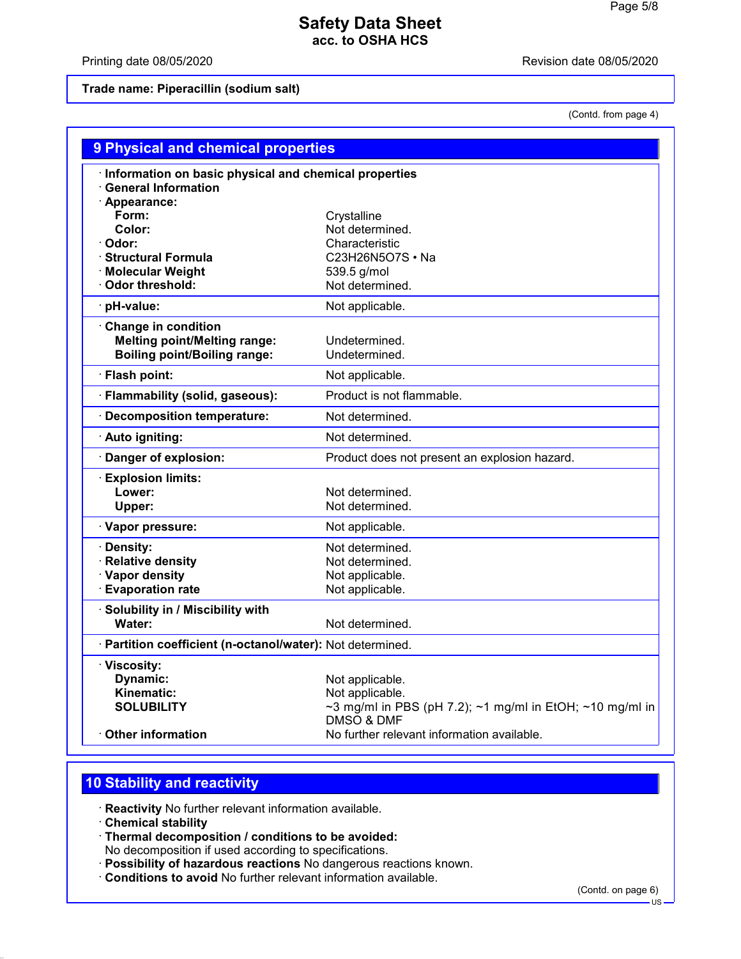Printing date 08/05/2020 **Printing date 08/05/2020** 

### **Trade name: Piperacillin (sodium salt)**

(Contd. from page 4)

| 9 Physical and chemical properties                                                   |                                                          |  |
|--------------------------------------------------------------------------------------|----------------------------------------------------------|--|
| Information on basic physical and chemical properties<br>$\cdot$ General Information |                                                          |  |
| · Appearance:                                                                        |                                                          |  |
| Form:                                                                                | Crystalline                                              |  |
| Color:                                                                               | Not determined.                                          |  |
| · Odor:                                                                              | Characteristic                                           |  |
| · Structural Formula                                                                 | C23H26N5O7S · Na                                         |  |
| · Molecular Weight                                                                   | 539.5 g/mol                                              |  |
| <b>Odor threshold:</b>                                                               | Not determined.                                          |  |
| pH-value:                                                                            | Not applicable.                                          |  |
| Change in condition                                                                  |                                                          |  |
| <b>Melting point/Melting range:</b>                                                  | Undetermined.                                            |  |
| <b>Boiling point/Boiling range:</b>                                                  | Undetermined.                                            |  |
| · Flash point:                                                                       | Not applicable.                                          |  |
| · Flammability (solid, gaseous):                                                     | Product is not flammable.                                |  |
| Decomposition temperature:                                                           | Not determined.                                          |  |
| · Auto igniting:                                                                     | Not determined.                                          |  |
| Danger of explosion:                                                                 | Product does not present an explosion hazard.            |  |
| <b>Explosion limits:</b>                                                             |                                                          |  |
| Lower:                                                                               | Not determined.                                          |  |
| Upper:                                                                               | Not determined.                                          |  |
| · Vapor pressure:                                                                    | Not applicable.                                          |  |
| · Density:                                                                           | Not determined.                                          |  |
| · Relative density                                                                   | Not determined.                                          |  |
| · Vapor density                                                                      | Not applicable.                                          |  |
| <b>Evaporation rate</b>                                                              | Not applicable.                                          |  |
| · Solubility in / Miscibility with                                                   |                                                          |  |
| Water:                                                                               | Not determined.                                          |  |
| · Partition coefficient (n-octanol/water): Not determined.                           |                                                          |  |
| · Viscosity:                                                                         |                                                          |  |
| Dynamic:                                                                             | Not applicable.                                          |  |
| Kinematic:                                                                           | Not applicable.                                          |  |
| <b>SOLUBILITY</b>                                                                    | ~3 mg/ml in PBS (pH 7.2); ~1 mg/ml in EtOH; ~10 mg/ml in |  |
|                                                                                      | DMSO & DMF                                               |  |
| <b>Other information</b>                                                             | No further relevant information available.               |  |
|                                                                                      |                                                          |  |

# **10 Stability and reactivity**

· **Reactivity** No further relevant information available.

· **Chemical stability**

· **Thermal decomposition / conditions to be avoided:**

No decomposition if used according to specifications.

- · **Possibility of hazardous reactions** No dangerous reactions known.
- · **Conditions to avoid** No further relevant information available.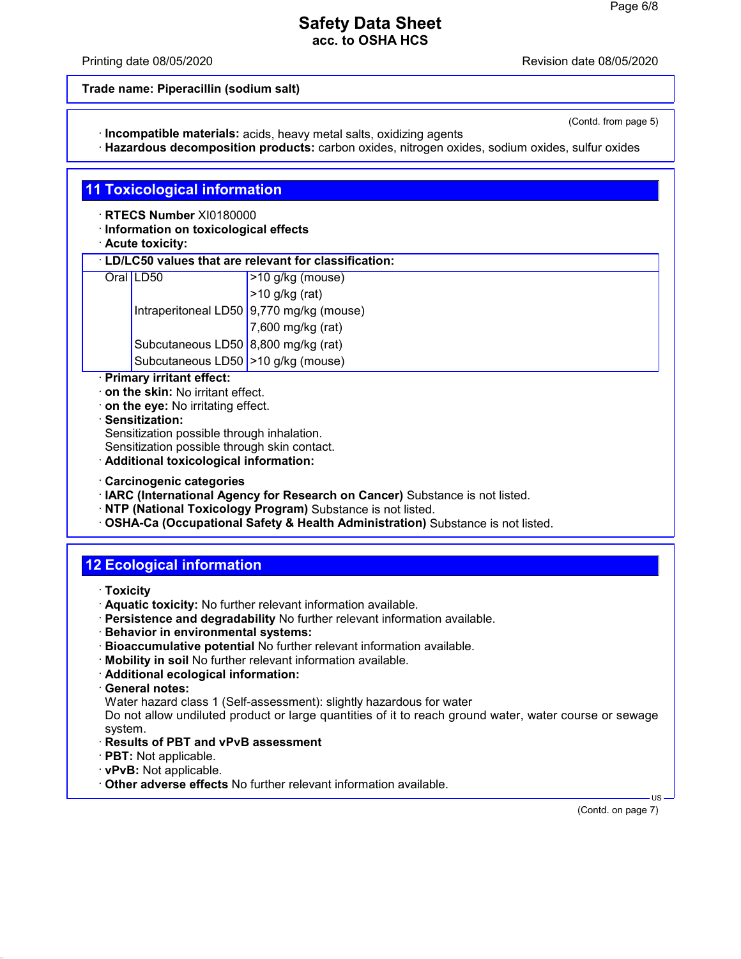Printing date 08/05/2020 **Review Accord 2012** Revision date 08/05/2020

(Contd. from page 5)

**Trade name: Piperacillin (sodium salt)**

- · **Incompatible materials:** acids, heavy metal salts, oxidizing agents
- · **Hazardous decomposition products:** carbon oxides, nitrogen oxides, sodium oxides, sulfur oxides

## **11 Toxicological information**

- · **RTECS Number** XI0180000
- · **Information on toxicological effects**
- · **Acute toxicity:**

| $\cdot$ LD/LC50 values that are relevant for classification: |  |
|--------------------------------------------------------------|--|
|--------------------------------------------------------------|--|

| Oral LD50                           |                                          |
|-------------------------------------|------------------------------------------|
|                                     | >10 g/kg (mouse)<br>>10 g/kg (rat)       |
|                                     | Intraperitoneal LD50 9,770 mg/kg (mouse) |
|                                     | $7,600$ mg/kg (rat)                      |
| Subcutaneous LD50 8,800 mg/kg (rat) |                                          |
| Subcutaneous LD50 > 10 g/kg (mouse) |                                          |

· **Primary irritant effect:**

· **on the skin:** No irritant effect.

· **on the eye:** No irritating effect.

· **Sensitization:**

Sensitization possible through inhalation.

Sensitization possible through skin contact.

- · **Additional toxicological information:**
- · **Carcinogenic categories**
- · **IARC (International Agency for Research on Cancer)** Substance is not listed.
- · **NTP (National Toxicology Program)** Substance is not listed.
- · **OSHA-Ca (Occupational Safety & Health Administration)** Substance is not listed.

# **12 Ecological information**

- · **Toxicity**
- · **Aquatic toxicity:** No further relevant information available.
- · **Persistence and degradability** No further relevant information available.
- · **Behavior in environmental systems:**
- · **Bioaccumulative potential** No further relevant information available.
- · **Mobility in soil** No further relevant information available.
- · **Additional ecological information:**
- · **General notes:**

Water hazard class 1 (Self-assessment): slightly hazardous for water

Do not allow undiluted product or large quantities of it to reach ground water, water course or sewage system.

- · **Results of PBT and vPvB assessment**
- · **PBT:** Not applicable.
- · **vPvB:** Not applicable.
- · **Other adverse effects** No further relevant information available.

(Contd. on page 7)

 $\overline{18}$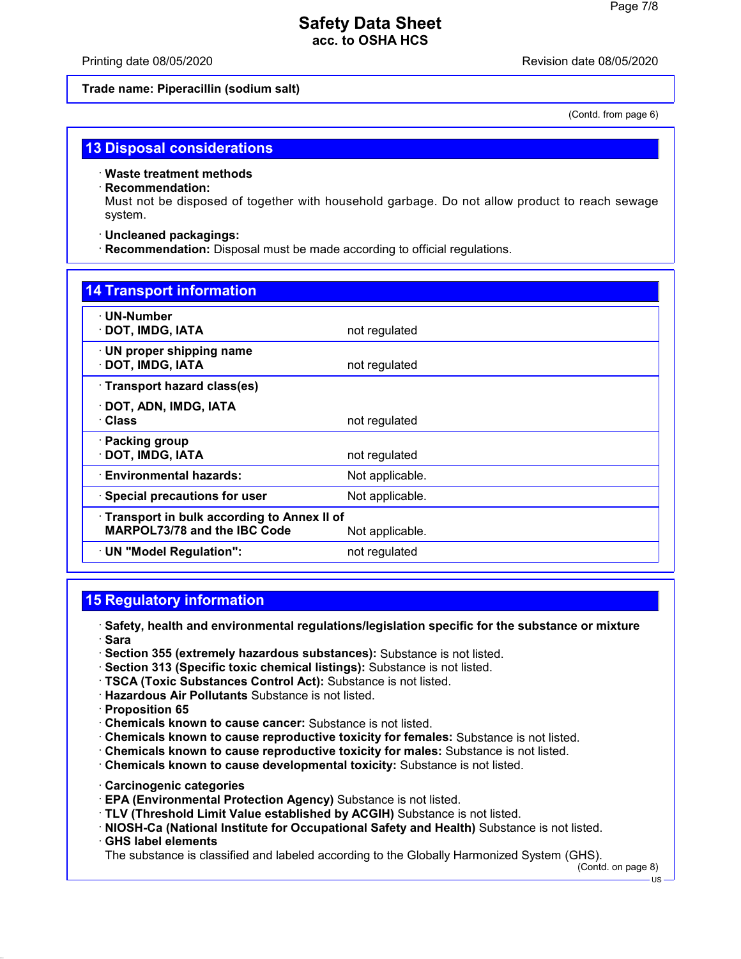Printing date 08/05/2020 **Review Accord 2012** Revision date 08/05/2020

#### **Trade name: Piperacillin (sodium salt)**

(Contd. from page 6)

### **13 Disposal considerations**

· **Waste treatment methods**

### · **Recommendation:**

Must not be disposed of together with household garbage. Do not allow product to reach sewage system.

#### · **Uncleaned packagings:**

· **Recommendation:** Disposal must be made according to official regulations.

| <b>14 Transport information</b>                                                                        |                 |  |
|--------------------------------------------------------------------------------------------------------|-----------------|--|
| $\cdot$ UN-Number<br>· DOT, IMDG, IATA                                                                 | not regulated   |  |
| · UN proper shipping name<br>· DOT, IMDG, IATA                                                         | not regulated   |  |
| · Transport hazard class(es)                                                                           |                 |  |
| · DOT, ADN, IMDG, IATA<br>· Class                                                                      | not regulated   |  |
| · Packing group<br>· DOT, IMDG, IATA                                                                   | not regulated   |  |
| · Environmental hazards:                                                                               | Not applicable. |  |
| $\cdot$ Special precautions for user                                                                   | Not applicable. |  |
| · Transport in bulk according to Annex II of<br><b>MARPOL73/78 and the IBC Code</b><br>Not applicable. |                 |  |
| · UN "Model Regulation":                                                                               | not regulated   |  |

# **15 Regulatory information**

- · **Safety, health and environmental regulations/legislation specific for the substance or mixture** · **Sara**
- · **Section 355 (extremely hazardous substances):** Substance is not listed.
- · **Section 313 (Specific toxic chemical listings):** Substance is not listed.
- · **TSCA (Toxic Substances Control Act):** Substance is not listed.
- · **Hazardous Air Pollutants** Substance is not listed.
- · **Proposition 65**
- · **Chemicals known to cause cancer:** Substance is not listed.
- · **Chemicals known to cause reproductive toxicity for females:** Substance is not listed.
- · **Chemicals known to cause reproductive toxicity for males:** Substance is not listed.
- · **Chemicals known to cause developmental toxicity:** Substance is not listed.
- · **Carcinogenic categories**
- · **EPA (Environmental Protection Agency)** Substance is not listed.
- · **TLV (Threshold Limit Value established by ACGIH)** Substance is not listed.
- · **NIOSH-Ca (National Institute for Occupational Safety and Health)** Substance is not listed. · **GHS label elements**

The substance is classified and labeled according to the Globally Harmonized System (GHS).

(Contd. on page 8)

US